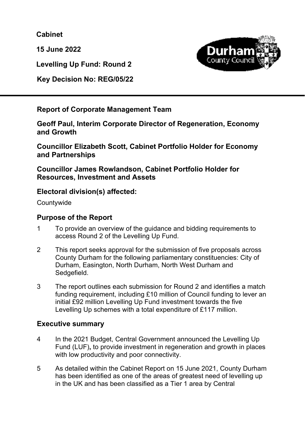**Cabinet** 

**15 June 2022** 



**Levelling Up Fund: Round 2** 

**Key Decision No: REG/05/22** 

**Report of Corporate Management Team** 

**Geoff Paul, Interim Corporate Director of Regeneration, Economy and Growth** 

**Councillor Elizabeth Scott, Cabinet Portfolio Holder for Economy and Partnerships** 

**Councillor James Rowlandson, Cabinet Portfolio Holder for Resources, Investment and Assets** 

# **Electoral division(s) affected:**

**Countywide** 

# **Purpose of the Report**

- 1 To provide an overview of the guidance and bidding requirements to access Round 2 of the Levelling Up Fund.
- 2 This report seeks approval for the submission of five proposals across County Durham for the following parliamentary constituencies: City of Durham, Easington, North Durham, North West Durham and Sedgefield.
- 3 The report outlines each submission for Round 2 and identifies a match funding requirement, including £10 million of Council funding to lever an initial £92 million Levelling Up Fund investment towards the five Levelling Up schemes with a total expenditure of £117 million.

# **Executive summary**

- 4 In the 2021 Budget, Central Government announced the Levelling Up Fund (LUF)**,** to provide investment in regeneration and growth in places with low productivity and poor connectivity.
- 5 As detailed within the Cabinet Report on 15 June 2021, County Durham has been identified as one of the areas of greatest need of levelling up in the UK and has been classified as a Tier 1 area by Central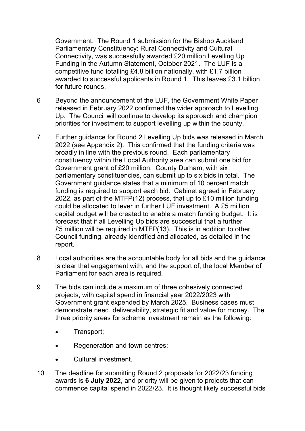Government. The Round 1 submission for the Bishop Auckland Parliamentary Constituency: Rural Connectivity and Cultural Connectivity, was successfully awarded £20 million Levelling Up Funding in the Autumn Statement, October 2021. The LUF is a competitive fund totalling £4.8 billion nationally, with £1.7 billion awarded to successful applicants in Round 1. This leaves £3.1 billion for future rounds.

- 6 Beyond the announcement of the LUF, the Government White Paper released in February 2022 confirmed the wider approach to Levelling Up. The Council will continue to develop its approach and champion priorities for investment to support levelling up within the county.
- 7 Further guidance for Round 2 Levelling Up bids was released in March 2022 (see Appendix 2). This confirmed that the funding criteria was broadly in line with the previous round. Each parliamentary constituency within the Local Authority area can submit one bid for Government grant of £20 million. County Durham, with six parliamentary constituencies, can submit up to six bids in total. The Government guidance states that a minimum of 10 percent match funding is required to support each bid. Cabinet agreed in February 2022, as part of the MTFP(12) process, that up to £10 million funding could be allocated to lever in further LUF investment. A £5 million capital budget will be created to enable a match funding budget. It is forecast that if all Levelling Up bids are successful that a further £5 million will be required in MTFP(13). This is in addition to other Council funding, already identified and allocated, as detailed in the report.
- 8 Local authorities are the accountable body for all bids and the guidance is clear that engagement with, and the support of, the local Member of Parliament for each area is required.
- 9 The bids can include a maximum of three cohesively connected projects, with capital spend in financial year 2022/2023 with Government grant expended by March 2025. Business cases must demonstrate need, deliverability, strategic fit and value for money. The three priority areas for scheme investment remain as the following:
	- Transport;
	- Regeneration and town centres;
	- Cultural investment.
- 10 The deadline for submitting Round 2 proposals for 2022/23 funding awards is **6 July 2022**, and priority will be given to projects that can commence capital spend in 2022/23. It is thought likely successful bids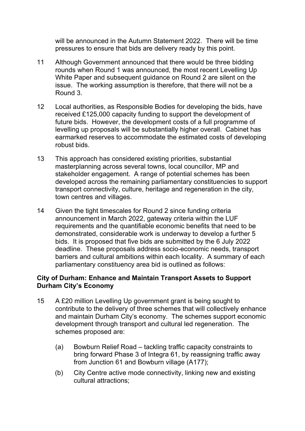will be announced in the Autumn Statement 2022. There will be time pressures to ensure that bids are delivery ready by this point.

- 11 Although Government announced that there would be three bidding rounds when Round 1 was announced, the most recent Levelling Up White Paper and subsequent guidance on Round 2 are silent on the issue. The working assumption is therefore, that there will not be a Round 3.
- 12 Local authorities, as Responsible Bodies for developing the bids, have received £125,000 capacity funding to support the development of future bids. However, the development costs of a full programme of levelling up proposals will be substantially higher overall. Cabinet has earmarked reserves to accommodate the estimated costs of developing robust bids.
- 13 This approach has considered existing priorities, substantial masterplanning across several towns, local councillor, MP and stakeholder engagement. A range of potential schemes has been developed across the remaining parliamentary constituencies to support transport connectivity, culture, heritage and regeneration in the city, town centres and villages.
- 14 Given the tight timescales for Round 2 since funding criteria announcement in March 2022, gateway criteria within the LUF requirements and the quantifiable economic benefits that need to be demonstrated, considerable work is underway to develop a further 5 bids. It is proposed that five bids are submitted by the 6 July 2022 deadline. These proposals address socio-economic needs, transport barriers and cultural ambitions within each locality. A summary of each parliamentary constituency area bid is outlined as follows:

#### **City of Durham: Enhance and Maintain Transport Assets to Support Durham City's Economy**

- 15 A £20 million Levelling Up government grant is being sought to contribute to the delivery of three schemes that will collectively enhance and maintain Durham City's economy. The schemes support economic development through transport and cultural led regeneration. The schemes proposed are:
	- (a) Bowburn Relief Road tackling traffic capacity constraints to bring forward Phase 3 of Integra 61, by reassigning traffic away from Junction 61 and Bowburn village (A177);
	- (b) City Centre active mode connectivity, linking new and existing cultural attractions;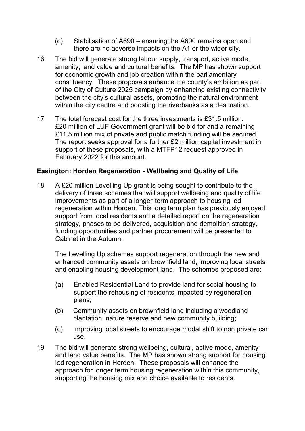- (c) Stabilisation of A690 ensuring the A690 remains open and there are no adverse impacts on the A1 or the wider city.
- 16 The bid will generate strong labour supply, transport, active mode, amenity, land value and cultural benefits. The MP has shown support for economic growth and job creation within the parliamentary constituency. These proposals enhance the county's ambition as part of the City of Culture 2025 campaign by enhancing existing connectivity between the city's cultural assets, promoting the natural environment within the city centre and boosting the riverbanks as a destination.
- 17 The total forecast cost for the three investments is £31.5 million. £20 million of LUF Government grant will be bid for and a remaining £11.5 million mix of private and public match funding will be secured. The report seeks approval for a further £2 million capital investment in support of these proposals, with a MTFP12 request approved in February 2022 for this amount.

#### **Easington: Horden Regeneration - Wellbeing and Quality of Life**

18 A £20 million Levelling Up grant is being sought to contribute to the delivery of three schemes that will support wellbeing and quality of life improvements as part of a longer-term approach to housing led regeneration within Horden. This long term plan has previously enjoyed support from local residents and a detailed report on the regeneration strategy, phases to be delivered, acquisition and demolition strategy, funding opportunities and partner procurement will be presented to Cabinet in the Autumn.

The Levelling Up schemes support regeneration through the new and enhanced community assets on brownfield land, improving local streets and enabling housing development land. The schemes proposed are:

- (a) Enabled Residential Land to provide land for social housing to support the rehousing of residents impacted by regeneration plans;
- (b) Community assets on brownfield land including a woodland plantation, nature reserve and new community building;
- (c) Improving local streets to encourage modal shift to non private car use.
- 19 The bid will generate strong wellbeing, cultural, active mode, amenity and land value benefits. The MP has shown strong support for housing led regeneration in Horden. These proposals will enhance the approach for longer term housing regeneration within this community, supporting the housing mix and choice available to residents.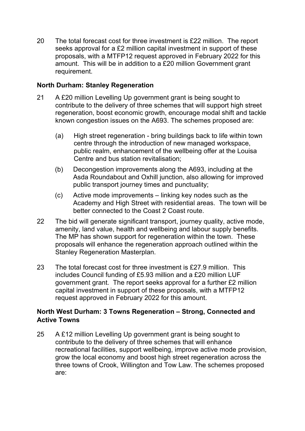20 The total forecast cost for three investment is £22 million. The report seeks approval for a £2 million capital investment in support of these proposals, with a MTFP12 request approved in February 2022 for this amount. This will be in addition to a £20 million Government grant requirement.

#### **North Durham: Stanley Regeneration**

- 21 A £20 million Levelling Up government grant is being sought to contribute to the delivery of three schemes that will support high street regeneration, boost economic growth, encourage modal shift and tackle known congestion issues on the A693. The schemes proposed are:
	- (a) High street regeneration bring buildings back to life within town centre through the introduction of new managed workspace, public realm, enhancement of the wellbeing offer at the Louisa Centre and bus station revitalisation;
	- (b) Decongestion improvements along the A693, including at the Asda Roundabout and Oxhill junction, also allowing for improved public transport journey times and punctuality;
	- (c) Active mode improvements linking key nodes such as the Academy and High Street with residential areas. The town will be better connected to the Coast 2 Coast route.
- 22 The bid will generate significant transport, journey quality, active mode, amenity, land value, health and wellbeing and labour supply benefits. The MP has shown support for regeneration within the town. These proposals will enhance the regeneration approach outlined within the Stanley Regeneration Masterplan.
- 23 The total forecast cost for three investment is £27.9 million. This includes Council funding of £5.93 million and a £20 million LUF government grant. The report seeks approval for a further £2 million capital investment in support of these proposals, with a MTFP12 request approved in February 2022 for this amount.

## **North West Durham: 3 Towns Regeneration – Strong, Connected and Active Towns**

25 A £12 million Levelling Up government grant is being sought to contribute to the delivery of three schemes that will enhance recreational facilities, support wellbeing, improve active mode provision, grow the local economy and boost high street regeneration across the three towns of Crook, Willington and Tow Law. The schemes proposed are: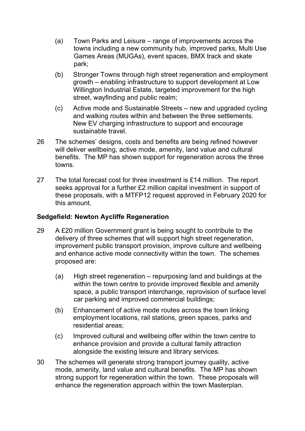- (a) Town Parks and Leisure range of improvements across the towns including a new community hub, improved parks, Multi Use Games Areas (MUGAs), event spaces, BMX track and skate park;
- (b) Stronger Towns through high street regeneration and employment growth – enabling infrastructure to support development at Low Willington Industrial Estate, targeted improvement for the high street, wayfinding and public realm;
- (c) Active mode and Sustainable Streets new and upgraded cycling and walking routes within and between the three settlements. New EV charging infrastructure to support and encourage sustainable travel.
- 26 The schemes' designs, costs and benefits are being refined however will deliver wellbeing, active mode, amenity, land value and cultural benefits. The MP has shown support for regeneration across the three towns.
- 27 The total forecast cost for three investment is £14 million. The report seeks approval for a further £2 million capital investment in support of these proposals, with a MTFP12 request approved in February 2020 for this amount.

#### **Sedgefield: Newton Aycliffe Regeneration**

- 29 A £20 million Government grant is being sought to contribute to the delivery of three schemes that will support high street regeneration, improvement public transport provision, improve culture and wellbeing and enhance active mode connectivity within the town. The schemes proposed are:
	- (a) High street regeneration repurposing land and buildings at the within the town centre to provide improved flexible and amenity space, a public transport interchange, reprovision of surface level car parking and improved commercial buildings;
	- (b) Enhancement of active mode routes across the town linking employment locations, rail stations, green spaces, parks and residential areas;
	- (c) Improved cultural and wellbeing offer within the town centre to enhance provision and provide a cultural family attraction alongside the existing leisure and library services.
- 30 The schemes will generate strong transport journey quality, active mode, amenity, land value and cultural benefits. The MP has shown strong support for regeneration within the town. These proposals will enhance the regeneration approach within the town Masterplan.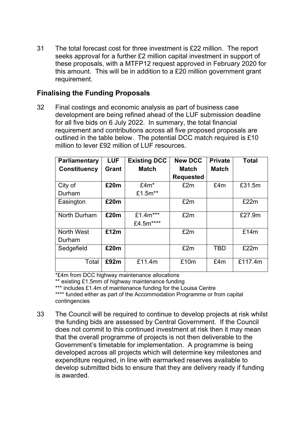31 The total forecast cost for three investment is £22 million. The report seeks approval for a further £2 million capital investment in support of these proposals, with a MTFP12 request approved in February 2020 for this amount. This will be in addition to a £20 million government grant requirement.

# **Finalising the Funding Proposals**

32 Final costings and economic analysis as part of business case development are being refined ahead of the LUF submission deadline for all five bids on 6 July 2022. In summary, the total financial requirement and contributions across all five proposed proposals are outlined in the table below. The potential DCC match required is £10 million to lever £92 million of LUF resources.

| <b>Parliamentary</b> | <b>LUF</b> | <b>Existing DCC</b>   | <b>New DCC</b>   | <b>Private</b> | <b>Total</b> |
|----------------------|------------|-----------------------|------------------|----------------|--------------|
| <b>Constituency</b>  | Grant      | <b>Match</b>          | <b>Match</b>     | <b>Match</b>   |              |
|                      |            |                       | <b>Requested</b> |                |              |
| City of              | £20m       | $£4m*$                | £2m              | £4m            | £31.5m       |
| Durham               |            | £1.5m**               |                  |                |              |
| Easington            | £20m       |                       | £2m              |                | £22m         |
| North Durham         | £20m       | £1.4m***<br>£4.5m**** | £2m              |                | £27.9m       |
| <b>North West</b>    | £12m       |                       | £2m              |                | £14m         |
| Durham               |            |                       |                  |                |              |
| Sedgefield           | £20m       |                       | £2m              | <b>TBD</b>     | £22m         |
| Total                | £92m       | £11.4m                | £10m             | £4m            | £117.4m      |

\*£4m from DCC highway maintenance allocations

\*\* existing £1.5mm of highway maintenance funding

\*\*\* includes £1.4m of maintenance funding for the Louisa Centre

\*\*\*\* funded either as part of the Accommodation Programme or from capital contingencies

33 The Council will be required to continue to develop projects at risk whilst the funding bids are assessed by Central Government. If the Council does not commit to this continued investment at risk then it may mean that the overall programme of projects is not then deliverable to the Government's timetable for implementation. A programme is being developed across all projects which will determine key milestones and expenditure required, in line with earmarked reserves available to develop submitted bids to ensure that they are delivery ready if funding is awarded.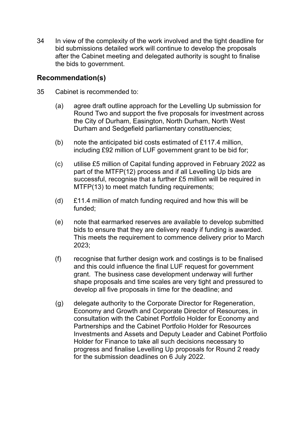34 In view of the complexity of the work involved and the tight deadline for bid submissions detailed work will continue to develop the proposals after the Cabinet meeting and delegated authority is sought to finalise the bids to government.

## **Recommendation(s)**

- 35 Cabinet is recommended to:
	- (a) agree draft outline approach for the Levelling Up submission for Round Two and support the five proposals for investment across the City of Durham, Easington, North Durham, North West Durham and Sedgefield parliamentary constituencies;
	- (b) note the anticipated bid costs estimated of £117.4 million, including £92 million of LUF government grant to be bid for;
	- (c) utilise £5 million of Capital funding approved in February 2022 as part of the MTFP(12) process and if all Levelling Up bids are successful, recognise that a further £5 million will be required in MTFP(13) to meet match funding requirements;
	- (d) £11.4 million of match funding required and how this will be funded;
	- (e) note that earmarked reserves are available to develop submitted bids to ensure that they are delivery ready if funding is awarded. This meets the requirement to commence delivery prior to March 2023;
	- (f) recognise that further design work and costings is to be finalised and this could influence the final LUF request for government grant. The business case development underway will further shape proposals and time scales are very tight and pressured to develop all five proposals in time for the deadline; and
	- (g) delegate authority to the Corporate Director for Regeneration, Economy and Growth and Corporate Director of Resources, in consultation with the Cabinet Portfolio Holder for Economy and Partnerships and the Cabinet Portfolio Holder for Resources Investments and Assets and Deputy Leader and Cabinet Portfolio Holder for Finance to take all such decisions necessary to progress and finalise Levelling Up proposals for Round 2 ready for the submission deadlines on 6 July 2022.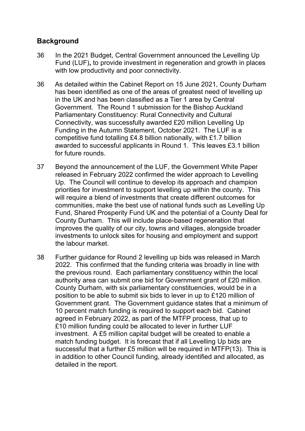# **Background**

- 36 In the 2021 Budget, Central Government announced the Levelling Up Fund (LUF)**,** to provide investment in regeneration and growth in places with low productivity and poor connectivity.
- 36 As detailed within the Cabinet Report on 15 June 2021, County Durham has been identified as one of the areas of greatest need of levelling up in the UK and has been classified as a Tier 1 area by Central Government. The Round 1 submission for the Bishop Auckland Parliamentary Constituency: Rural Connectivity and Cultural Connectivity, was successfully awarded £20 million Levelling Up Funding in the Autumn Statement, October 2021. The LUF is a competitive fund totalling £4.8 billion nationally, with £1.7 billion awarded to successful applicants in Round 1. This leaves £3.1 billion for future rounds.
- 37 Beyond the announcement of the LUF, the Government White Paper released in February 2022 confirmed the wider approach to Levelling Up. The Council will continue to develop its approach and champion priorities for investment to support levelling up within the county. This will require a blend of investments that create different outcomes for communities, make the best use of national funds such as Levelling Up Fund, Shared Prosperity Fund UK and the potential of a County Deal for County Durham. This will include place-based regeneration that improves the quality of our city, towns and villages, alongside broader investments to unlock sites for housing and employment and support the labour market.
- 38 Further guidance for Round 2 levelling up bids was released in March 2022. This confirmed that the funding criteria was broadly in line with the previous round. Each parliamentary constituency within the local authority area can submit one bid for Government grant of £20 million. County Durham, with six parliamentary constituencies, would be in a position to be able to submit six bids to lever in up to £120 million of Government grant. The Government guidance states that a minimum of 10 percent match funding is required to support each bid. Cabinet agreed in February 2022, as part of the MTFP process, that up to £10 million funding could be allocated to lever in further LUF investment. A £5 million capital budget will be created to enable a match funding budget. It is forecast that if all Levelling Up bids are successful that a further £5 million will be required in MTFP(13). This is in addition to other Council funding, already identified and allocated, as detailed in the report.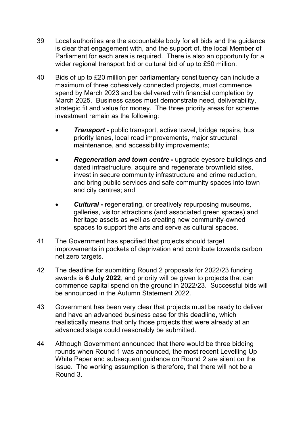- 39 Local authorities are the accountable body for all bids and the guidance is clear that engagement with, and the support of, the local Member of Parliament for each area is required. There is also an opportunity for a wider regional transport bid or cultural bid of up to £50 million.
- 40 Bids of up to £20 million per parliamentary constituency can include a maximum of three cohesively connected projects, must commence spend by March 2023 and be delivered with financial completion by March 2025. Business cases must demonstrate need, deliverability, strategic fit and value for money. The three priority areas for scheme investment remain as the following:
	- **Transport** public transport, active travel, bridge repairs, bus priority lanes, local road improvements, major structural maintenance, and accessibility improvements;
	- *Regeneration and town centre* **-** upgrade eyesore buildings and dated infrastructure, acquire and regenerate brownfield sites, invest in secure community infrastructure and crime reduction, and bring public services and safe community spaces into town and city centres; and
	- *Cultural* **-** regenerating, or creatively repurposing museums, galleries, visitor attractions (and associated green spaces) and heritage assets as well as creating new community-owned spaces to support the arts and serve as cultural spaces.
- 41 The Government has specified that projects should target improvements in pockets of deprivation and contribute towards carbon net zero targets.
- 42 The deadline for submitting Round 2 proposals for 2022/23 funding awards is **6 July 2022**, and priority will be given to projects that can commence capital spend on the ground in 2022/23. Successful bids will be announced in the Autumn Statement 2022.
- 43 Government has been very clear that projects must be ready to deliver and have an advanced business case for this deadline, which realistically means that only those projects that were already at an advanced stage could reasonably be submitted.
- 44 Although Government announced that there would be three bidding rounds when Round 1 was announced, the most recent Levelling Up White Paper and subsequent guidance on Round 2 are silent on the issue. The working assumption is therefore, that there will not be a Round 3.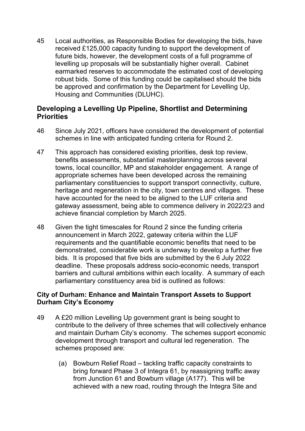45 Local authorities, as Responsible Bodies for developing the bids, have received £125,000 capacity funding to support the development of future bids, however, the development costs of a full programme of levelling up proposals will be substantially higher overall. Cabinet earmarked reserves to accommodate the estimated cost of developing robust bids. Some of this funding could be capitalised should the bids be approved and confirmation by the Department for Levelling Up, Housing and Communities (DLUHC).

## **Developing a Levelling Up Pipeline, Shortlist and Determining Priorities**

- 46 Since July 2021, officers have considered the development of potential schemes in line with anticipated funding criteria for Round 2.
- 47 This approach has considered existing priorities, desk top review, benefits assessments, substantial masterplanning across several towns, local councillor, MP and stakeholder engagement. A range of appropriate schemes have been developed across the remaining parliamentary constituencies to support transport connectivity, culture, heritage and regeneration in the city, town centres and villages. These have accounted for the need to be aligned to the LUF criteria and gateway assessment, being able to commence delivery in 2022/23 and achieve financial completion by March 2025.
- 48 Given the tight timescales for Round 2 since the funding criteria announcement in March 2022, gateway criteria within the LUF requirements and the quantifiable economic benefits that need to be demonstrated, considerable work is underway to develop a further five bids. It is proposed that five bids are submitted by the 6 July 2022 deadline. These proposals address socio-economic needs, transport barriers and cultural ambitions within each locality. A summary of each parliamentary constituency area bid is outlined as follows:

#### **City of Durham: Enhance and Maintain Transport Assets to Support Durham City's Economy**

- 49 A £20 million Levelling Up government grant is being sought to contribute to the delivery of three schemes that will collectively enhance and maintain Durham City's economy. The schemes support economic development through transport and cultural led regeneration. The schemes proposed are:
	- (a) Bowburn Relief Road tackling traffic capacity constraints to bring forward Phase 3 of Integra 61, by reassigning traffic away from Junction 61 and Bowburn village (A177). This will be achieved with a new road, routing through the Integra Site and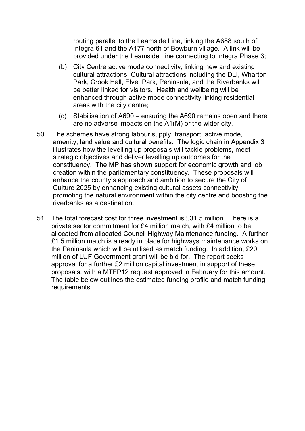routing parallel to the Leamside Line, linking the A688 south of Integra 61 and the A177 north of Bowburn village. A link will be provided under the Leamside Line connecting to Integra Phase 3;

- (b) City Centre active mode connectivity, linking new and existing cultural attractions. Cultural attractions including the DLI, Wharton Park, Crook Hall, Elvet Park, Peninsula, and the Riverbanks will be better linked for visitors. Health and wellbeing will be enhanced through active mode connectivity linking residential areas with the city centre;
- (c) Stabilisation of A690 ensuring the A690 remains open and there are no adverse impacts on the A1(M) or the wider city.
- 50 The schemes have strong labour supply, transport, active mode, amenity, land value and cultural benefits. The logic chain in Appendix 3 illustrates how the levelling up proposals will tackle problems, meet strategic objectives and deliver levelling up outcomes for the constituency. The MP has shown support for economic growth and job creation within the parliamentary constituency. These proposals will enhance the county's approach and ambition to secure the City of Culture 2025 by enhancing existing cultural assets connectivity, promoting the natural environment within the city centre and boosting the riverbanks as a destination.
- 51 The total forecast cost for three investment is £31.5 million. There is a private sector commitment for £4 million match, with £4 million to be allocated from allocated Council Highway Maintenance funding. A further £1.5 million match is already in place for highways maintenance works on the Peninsula which will be utilised as match funding. In addition, £20 million of LUF Government grant will be bid for. The report seeks approval for a further £2 million capital investment in support of these proposals, with a MTFP12 request approved in February for this amount. The table below outlines the estimated funding profile and match funding requirements: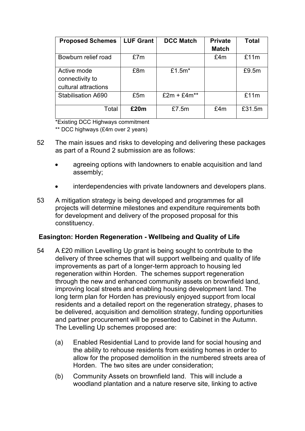| <b>Proposed Schemes</b>                                | <b>LUF Grant</b> | <b>DCC Match</b> | <b>Private</b> | <b>Total</b> |
|--------------------------------------------------------|------------------|------------------|----------------|--------------|
|                                                        |                  |                  | <b>Match</b>   |              |
| Bowburn relief road                                    | £7m              |                  | £4m            | £11m         |
| Active mode<br>connectivity to<br>cultural attractions | £8m              | £1.5 $m^*$       |                | £9.5m        |
| <b>Stabilisation A690</b>                              | £5m              | $£2m + £4m**$    |                | £11m         |
| Total                                                  | £20m             | £7.5m            | £4m            | £31.5m       |

\*Existing DCC Highways commitment

\*\* DCC highways (£4m over 2 years)

- 52 The main issues and risks to developing and delivering these packages as part of a Round 2 submission are as follows:
	- agreeing options with landowners to enable acquisition and land assembly;
	- interdependencies with private landowners and developers plans.
- 53 A mitigation strategy is being developed and programmes for all projects will determine milestones and expenditure requirements both for development and delivery of the proposed proposal for this constituency.

#### **Easington: Horden Regeneration - Wellbeing and Quality of Life**

- 54 A £20 million Levelling Up grant is being sought to contribute to the delivery of three schemes that will support wellbeing and quality of life improvements as part of a longer-term approach to housing led regeneration within Horden. The schemes support regeneration through the new and enhanced community assets on brownfield land, improving local streets and enabling housing development land. The long term plan for Horden has previously enjoyed support from local residents and a detailed report on the regeneration strategy, phases to be delivered, acquisition and demolition strategy, funding opportunities and partner procurement will be presented to Cabinet in the Autumn. The Levelling Up schemes proposed are:
	- (a) Enabled Residential Land to provide land for social housing and the ability to rehouse residents from existing homes in order to allow for the proposed demolition in the numbered streets area of Horden. The two sites are under consideration;
	- (b) Community Assets on brownfield land. This will include a woodland plantation and a nature reserve site, linking to active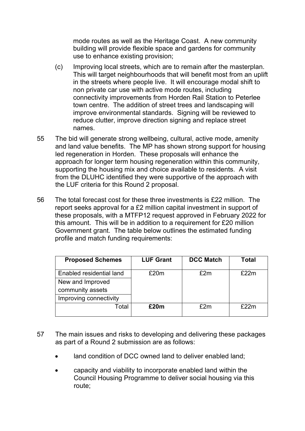mode routes as well as the Heritage Coast. A new community building will provide flexible space and gardens for community use to enhance existing provision;

- (c) Improving local streets, which are to remain after the masterplan. This will target neighbourhoods that will benefit most from an uplift in the streets where people live. It will encourage modal shift to non private car use with active mode routes, including connectivity improvements from Horden Rail Station to Peterlee town centre. The addition of street trees and landscaping will improve environmental standards. Signing will be reviewed to reduce clutter, improve direction signing and replace street names.
- 55 The bid will generate strong wellbeing, cultural, active mode, amenity and land value benefits. The MP has shown strong support for housing led regeneration in Horden. These proposals will enhance the approach for longer term housing regeneration within this community, supporting the housing mix and choice available to residents. A visit from the DLUHC identified they were supportive of the approach with the LUF criteria for this Round 2 proposal.
- 56 The total forecast cost for these three investments is £22 million. The report seeks approval for a £2 million capital investment in support of these proposals, with a MTFP12 request approved in February 2022 for this amount. This will be in addition to a requirement for £20 million Government grant. The table below outlines the estimated funding profile and match funding requirements:

| <b>Proposed Schemes</b>  | <b>LUF Grant</b> | <b>DCC Match</b> | Total |
|--------------------------|------------------|------------------|-------|
| Enabled residential land | £20m             | £2m              | £22m  |
| New and Improved         |                  |                  |       |
| community assets         |                  |                  |       |
| Improving connectivity   |                  |                  |       |
| Total                    | £20m             | f2m              | f22m  |
|                          |                  |                  |       |

- 57 The main issues and risks to developing and delivering these packages as part of a Round 2 submission are as follows:
	- land condition of DCC owned land to deliver enabled land;
	- capacity and viability to incorporate enabled land within the Council Housing Programme to deliver social housing via this route;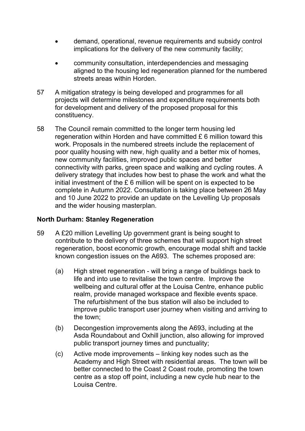- demand, operational, revenue requirements and subsidy control implications for the delivery of the new community facility;
- community consultation, interdependencies and messaging aligned to the housing led regeneration planned for the numbered streets areas within Horden.
- 57 A mitigation strategy is being developed and programmes for all projects will determine milestones and expenditure requirements both for development and delivery of the proposed proposal for this constituency.
- 58 The Council remain committed to the longer term housing led regeneration within Horden and have committed £ 6 million toward this work. Proposals in the numbered streets include the replacement of poor quality housing with new, high quality and a better mix of homes, new community facilities, improved public spaces and better connectivity with parks, green space and walking and cycling routes. A delivery strategy that includes how best to phase the work and what the initial investment of the £ 6 million will be spent on is expected to be complete in Autumn 2022. Consultation is taking place between 26 May and 10 June 2022 to provide an update on the Levelling Up proposals and the wider housing masterplan.

#### **North Durham: Stanley Regeneration**

- 59 A £20 million Levelling Up government grant is being sought to contribute to the delivery of three schemes that will support high street regeneration, boost economic growth, encourage modal shift and tackle known congestion issues on the A693. The schemes proposed are:
	- (a) High street regeneration will bring a range of buildings back to life and into use to revitalise the town centre. Improve the wellbeing and cultural offer at the Louisa Centre, enhance public realm, provide managed workspace and flexible events space. The refurbishment of the bus station will also be included to improve public transport user journey when visiting and arriving to the town;
	- (b) Decongestion improvements along the A693, including at the Asda Roundabout and Oxhill junction, also allowing for improved public transport journey times and punctuality;
	- (c) Active mode improvements linking key nodes such as the Academy and High Street with residential areas. The town will be better connected to the Coast 2 Coast route, promoting the town centre as a stop off point, including a new cycle hub near to the Louisa Centre.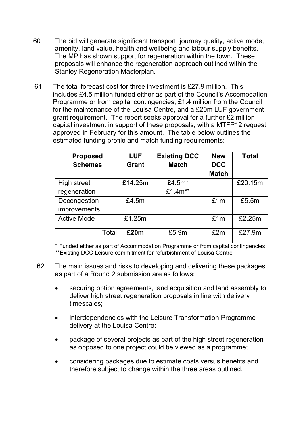- 60 The bid will generate significant transport, journey quality, active mode, amenity, land value, health and wellbeing and labour supply benefits. The MP has shown support for regeneration within the town. These proposals will enhance the regeneration approach outlined within the Stanley Regeneration Masterplan.
- 61 The total forecast cost for three investment is £27.9 million. This includes £4.5 million funded either as part of the Council's Accomodation Programme or from capital contingencies, £1.4 million from the Council for the maintenance of the Louisa Centre, and a £20m LUF government grant requirement. The report seeks approval for a further £2 million capital investment in support of these proposals, with a MTFP12 request approved in February for this amount. The table below outlines the estimated funding profile and match funding requirements:

| <b>Proposed</b><br><b>Schemes</b> | <b>LUF</b><br><b>Grant</b> | <b>Existing DCC</b><br><b>Match</b> | <b>New</b><br><b>DCC</b><br><b>Match</b> | <b>Total</b> |
|-----------------------------------|----------------------------|-------------------------------------|------------------------------------------|--------------|
| <b>High street</b>                | £14.25m                    | £4.5 $m^*$                          |                                          | £20.15m      |
| regeneration                      |                            | £1.4m**                             |                                          |              |
| Decongestion                      | £4.5m                      |                                     | £1m                                      | £5.5m        |
| improvements                      |                            |                                     |                                          |              |
| <b>Active Mode</b>                | £1.25m                     |                                     | £1m                                      | £2.25m       |
| Total                             | £20m                       | £5.9m                               | £2m                                      | £27.9m       |

\* Funded either as part of Accommodation Programme or from capital contingencies \*\*Existing DCC Leisure commitment for refurbishment of Louisa Centre

- 62 The main issues and risks to developing and delivering these packages as part of a Round 2 submission are as follows:
	- securing option agreements, land acquisition and land assembly to deliver high street regeneration proposals in line with delivery timescales;
	- interdependencies with the Leisure Transformation Programme delivery at the Louisa Centre;
	- package of several projects as part of the high street regeneration as opposed to one project could be viewed as a programme;
	- considering packages due to estimate costs versus benefits and therefore subject to change within the three areas outlined.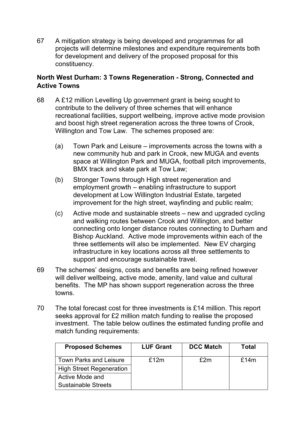67 A mitigation strategy is being developed and programmes for all projects will determine milestones and expenditure requirements both for development and delivery of the proposed proposal for this constituency.

## **North West Durham: 3 Towns Regeneration - Strong, Connected and Active Towns**

- 68 A £12 million Levelling Up government grant is being sought to contribute to the delivery of three schemes that will enhance recreational facilities, support wellbeing, improve active mode provision and boost high street regeneration across the three towns of Crook, Willington and Tow Law. The schemes proposed are:
	- (a) Town Park and Leisure improvements across the towns with a new community hub and park in Crook, new MUGA and events space at Willington Park and MUGA, football pitch improvements, BMX track and skate park at Tow Law;
	- (b) Stronger Towns through High street regeneration and employment growth – enabling infrastructure to support development at Low Willington Industrial Estate, targeted improvement for the high street, wayfinding and public realm;
	- (c) Active mode and sustainable streets new and upgraded cycling and walking routes between Crook and Willington, and better connecting onto longer distance routes connecting to Durham and Bishop Auckland. Active mode improvements within each of the three settlements will also be implemented. New EV charging infrastructure in key locations across all three settlements to support and encourage sustainable travel.
- 69 The schemes' designs, costs and benefits are being refined however will deliver wellbeing, active mode, amenity, land value and cultural benefits. The MP has shown support regeneration across the three towns.
- 70 The total forecast cost for three investments is £14 million. This report seeks approval for £2 million match funding to realise the proposed investment. The table below outlines the estimated funding profile and match funding requirements:

| <b>Proposed Schemes</b>         | <b>LUF Grant</b> | <b>DCC Match</b> | Total |
|---------------------------------|------------------|------------------|-------|
| <b>Town Parks and Leisure</b>   | f12m             | £2m              | £14m  |
| <b>High Street Regeneration</b> |                  |                  |       |
| Active Mode and                 |                  |                  |       |
| <b>Sustainable Streets</b>      |                  |                  |       |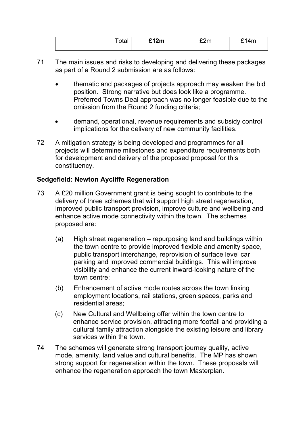| $T$ otot $\sim$<br>ula. | \$12m | $\sim$<br>$- - - - -$ | $\Delta$<br><b>TIII</b><br>- |
|-------------------------|-------|-----------------------|------------------------------|
|                         |       |                       |                              |

- 71 The main issues and risks to developing and delivering these packages as part of a Round 2 submission are as follows:
	- thematic and packages of projects approach may weaken the bid position. Strong narrative but does look like a programme. Preferred Towns Deal approach was no longer feasible due to the omission from the Round 2 funding criteria;
	- demand, operational, revenue requirements and subsidy control implications for the delivery of new community facilities.
- 72 A mitigation strategy is being developed and programmes for all projects will determine milestones and expenditure requirements both for development and delivery of the proposed proposal for this constituency.

## **Sedgefield: Newton Aycliffe Regeneration**

- 73 A £20 million Government grant is being sought to contribute to the delivery of three schemes that will support high street regeneration, improved public transport provision, improve culture and wellbeing and enhance active mode connectivity within the town. The schemes proposed are:
	- (a) High street regeneration repurposing land and buildings within the town centre to provide improved flexible and amenity space, public transport interchange, reprovision of surface level car parking and improved commercial buildings. This will improve visibility and enhance the current inward-looking nature of the town centre;
	- (b) Enhancement of active mode routes across the town linking employment locations, rail stations, green spaces, parks and residential areas;
	- (c) New Cultural and Wellbeing offer within the town centre to enhance service provision, attracting more footfall and providing a cultural family attraction alongside the existing leisure and library services within the town.
- 74 The schemes will generate strong transport journey quality, active mode, amenity, land value and cultural benefits. The MP has shown strong support for regeneration within the town. These proposals will enhance the regeneration approach the town Masterplan.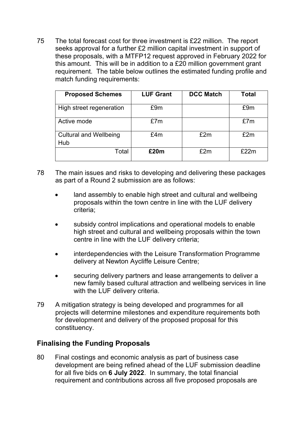75 The total forecast cost for three investment is £22 million. The report seeks approval for a further £2 million capital investment in support of these proposals, with a MTFP12 request approved in February 2022 for this amount. This will be in addition to a £20 million government grant requirement. The table below outlines the estimated funding profile and match funding requirements:

| <b>Proposed Schemes</b>       | <b>LUF Grant</b> | <b>DCC Match</b> | <b>Total</b> |
|-------------------------------|------------------|------------------|--------------|
| High street regeneration      | £9m              |                  | £9m          |
| Active mode                   | £7m              |                  | £7m          |
| <b>Cultural and Wellbeing</b> | £4m              | £2m              | £2m          |
| Hub                           |                  |                  |              |
| Total                         | £20m             | £2m              | £22m         |

- 78 The main issues and risks to developing and delivering these packages as part of a Round 2 submission are as follows:
	- land assembly to enable high street and cultural and wellbeing proposals within the town centre in line with the LUF delivery criteria;
	- subsidy control implications and operational models to enable high street and cultural and wellbeing proposals within the town centre in line with the LUF delivery criteria;
	- interdependencies with the Leisure Transformation Programme delivery at Newton Aycliffe Leisure Centre;
	- securing delivery partners and lease arrangements to deliver a new family based cultural attraction and wellbeing services in line with the LUF delivery criteria.
- 79 A mitigation strategy is being developed and programmes for all projects will determine milestones and expenditure requirements both for development and delivery of the proposed proposal for this constituency.

# **Finalising the Funding Proposals**

80 Final costings and economic analysis as part of business case development are being refined ahead of the LUF submission deadline for all five bids on **6 July 2022**. In summary, the total financial requirement and contributions across all five proposed proposals are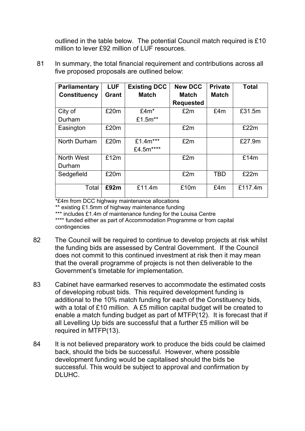outlined in the table below. The potential Council match required is £10 million to lever £92 million of LUF resources.

81 In summary, the total financial requirement and contributions across all five proposed proposals are outlined below:

| <b>Parliamentary</b> | <b>LUF</b> | <b>Existing DCC</b> | <b>New DCC</b>   | <b>Private</b> | <b>Total</b> |
|----------------------|------------|---------------------|------------------|----------------|--------------|
| <b>Constituency</b>  | Grant      | <b>Match</b>        | <b>Match</b>     | <b>Match</b>   |              |
|                      |            |                     | <b>Requested</b> |                |              |
| City of              | £20m       | $£4m*$              | £2m              | £4m            | £31.5m       |
| Durham               |            | £1.5m**             |                  |                |              |
| Easington            | £20m       |                     | £2m              |                | £22m         |
| North Durham         | £20m       | £1.4m***            | £2m              |                | £27.9m       |
|                      |            | £4.5m****           |                  |                |              |
| <b>North West</b>    | £12m       |                     | £2m              |                | £14m         |
| Durham               |            |                     |                  |                |              |
| Sedgefield           | £20m       |                     | £2m              | <b>TBD</b>     | £22m         |
| Total                | £92m       | £11.4m              | £10m             | £4m            | £117.4m      |

\*£4m from DCC highway maintenance allocations

\*\* existing £1.5mm of highway maintenance funding

\*\*\* includes £1.4m of maintenance funding for the Louisa Centre

\*\*\*\* funded either as part of Accommodation Programme or from capital contingencies

- 82 The Council will be required to continue to develop projects at risk whilst the funding bids are assessed by Central Government. If the Council does not commit to this continued investment at risk then it may mean that the overall programme of projects is not then deliverable to the Government's timetable for implementation.
- 83 Cabinet have earmarked reserves to accommodate the estimated costs of developing robust bids. This required development funding is additional to the 10% match funding for each of the Constituency bids, with a total of £10 million. A £5 million capital budget will be created to enable a match funding budget as part of MTFP(12). It is forecast that if all Levelling Up bids are successful that a further £5 million will be required in MTFP(13).
- 84 It is not believed preparatory work to produce the bids could be claimed back, should the bids be successful. However, where possible development funding would be capitalised should the bids be successful. This would be subject to approval and confirmation by DLUHC.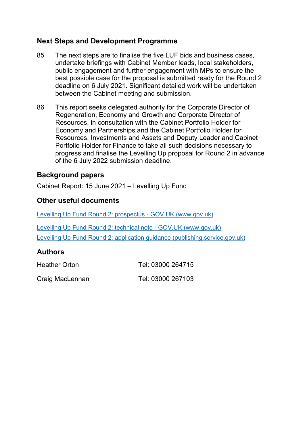## **Next Steps and Development Programme**

- 85 The next steps are to finalise the five LUF bids and business cases, undertake briefings with Cabinet Member leads, local stakeholders, public engagement and further engagement with MPs to ensure the best possible case for the proposal is submitted ready for the Round 2 deadline on 6 July 2021. Significant detailed work will be undertaken between the Cabinet meeting and submission.
- 86 This report seeks delegated authority for the Corporate Director of Regeneration, Economy and Growth and Corporate Director of Resources, in consultation with the Cabinet Portfolio Holder for Economy and Partnerships and the Cabinet Portfolio Holder for Resources, Investments and Assets and Deputy Leader and Cabinet Portfolio Holder for Finance to take all such decisions necessary to progress and finalise the Levelling Up proposal for Round 2 in advance of the 6 July 2022 submission deadline.

## **Background papers**

Cabinet Report: 15 June 2021 – Levelling Up Fund

## **Other useful documents**

Levelling Up Fund Round 2: prospectus - GOV.UK (www.gov.uk)

Levelling Up Fund Round 2: technical note - GOV.UK (www.gov.uk) Levelling Up Fund Round 2: application guidance (publishing.service.gov.uk)

## **Authors**

| <b>Heather Orton</b> | Tel: 03000 264715 |
|----------------------|-------------------|
| Craig MacLennan      | Tel: 03000 267103 |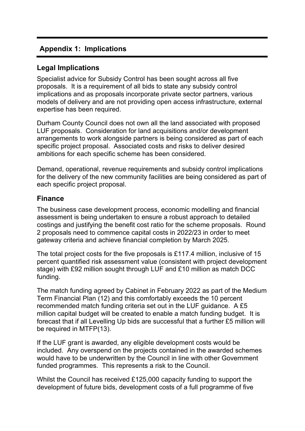# **Appendix 1: Implications**

## **Legal Implications**

Specialist advice for Subsidy Control has been sought across all five proposals. It is a requirement of all bids to state any subsidy control implications and as proposals incorporate private sector partners, various models of delivery and are not providing open access infrastructure, external expertise has been required.

Durham County Council does not own all the land associated with proposed LUF proposals. Consideration for land acquisitions and/or development arrangements to work alongside partners is being considered as part of each specific project proposal. Associated costs and risks to deliver desired ambitions for each specific scheme has been considered.

Demand, operational, revenue requirements and subsidy control implications for the delivery of the new community facilities are being considered as part of each specific project proposal.

#### **Finance**

The business case development process, economic modelling and financial assessment is being undertaken to ensure a robust approach to detailed costings and justifying the benefit cost ratio for the scheme proposals. Round 2 proposals need to commence capital costs in 2022/23 in order to meet gateway criteria and achieve financial completion by March 2025.

The total project costs for the five proposals is £117.4 million, inclusive of 15 percent quantified risk assessment value (consistent with project development stage) with £92 million sought through LUF and £10 million as match DCC funding.

The match funding agreed by Cabinet in February 2022 as part of the Medium Term Financial Plan (12) and this comfortably exceeds the 10 percent recommended match funding criteria set out in the LUF guidance. A £5 million capital budget will be created to enable a match funding budget. It is forecast that if all Levelling Up bids are successful that a further £5 million will be required in MTFP(13).

If the LUF grant is awarded, any eligible development costs would be included. Any overspend on the projects contained in the awarded schemes would have to be underwritten by the Council in line with other Government funded programmes. This represents a risk to the Council.

Whilst the Council has received £125,000 capacity funding to support the development of future bids, development costs of a full programme of five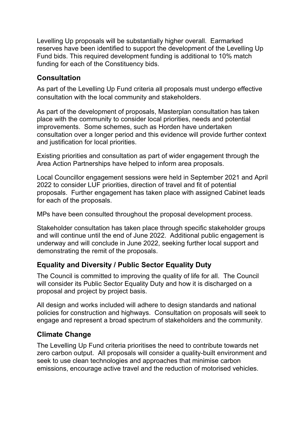Levelling Up proposals will be substantially higher overall. Earmarked reserves have been identified to support the development of the Levelling Up Fund bids. This required development funding is additional to 10% match funding for each of the Constituency bids.

# **Consultation**

As part of the Levelling Up Fund criteria all proposals must undergo effective consultation with the local community and stakeholders.

As part of the development of proposals, Masterplan consultation has taken place with the community to consider local priorities, needs and potential improvements. Some schemes, such as Horden have undertaken consultation over a longer period and this evidence will provide further context and justification for local priorities.

Existing priorities and consultation as part of wider engagement through the Area Action Partnerships have helped to inform area proposals.

Local Councillor engagement sessions were held in September 2021 and April 2022 to consider LUF priorities, direction of travel and fit of potential proposals. Further engagement has taken place with assigned Cabinet leads for each of the proposals.

MPs have been consulted throughout the proposal development process.

Stakeholder consultation has taken place through specific stakeholder groups and will continue until the end of June 2022. Additional public engagement is underway and will conclude in June 2022, seeking further local support and demonstrating the remit of the proposals.

# **Equality and Diversity / Public Sector Equality Duty**

The Council is committed to improving the quality of life for all. The Council will consider its Public Sector Equality Duty and how it is discharged on a proposal and project by project basis.

All design and works included will adhere to design standards and national policies for construction and highways. Consultation on proposals will seek to engage and represent a broad spectrum of stakeholders and the community.

# **Climate Change**

The Levelling Up Fund criteria prioritises the need to contribute towards net zero carbon output. All proposals will consider a quality-built environment and seek to use clean technologies and approaches that minimise carbon emissions, encourage active travel and the reduction of motorised vehicles.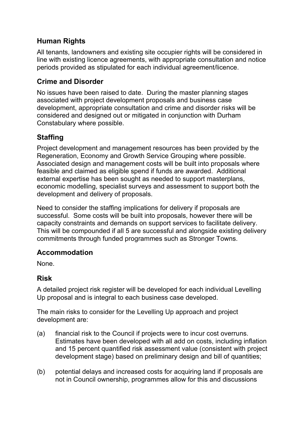# **Human Rights**

All tenants, landowners and existing site occupier rights will be considered in line with existing licence agreements, with appropriate consultation and notice periods provided as stipulated for each individual agreement/licence.

# **Crime and Disorder**

No issues have been raised to date. During the master planning stages associated with project development proposals and business case development, appropriate consultation and crime and disorder risks will be considered and designed out or mitigated in conjunction with Durham Constabulary where possible.

# **Staffing**

Project development and management resources has been provided by the Regeneration, Economy and Growth Service Grouping where possible. Associated design and management costs will be built into proposals where feasible and claimed as eligible spend if funds are awarded. Additional external expertise has been sought as needed to support masterplans, economic modelling, specialist surveys and assessment to support both the development and delivery of proposals.

Need to consider the staffing implications for delivery if proposals are successful. Some costs will be built into proposals, however there will be capacity constraints and demands on support services to facilitate delivery. This will be compounded if all 5 are successful and alongside existing delivery commitments through funded programmes such as Stronger Towns.

## **Accommodation**

None.

## **Risk**

A detailed project risk register will be developed for each individual Levelling Up proposal and is integral to each business case developed.

The main risks to consider for the Levelling Up approach and project development are:

- (a) financial risk to the Council if projects were to incur cost overruns. Estimates have been developed with all add on costs, including inflation and 15 percent quantified risk assessment value (consistent with project development stage) based on preliminary design and bill of quantities;
- (b) potential delays and increased costs for acquiring land if proposals are not in Council ownership, programmes allow for this and discussions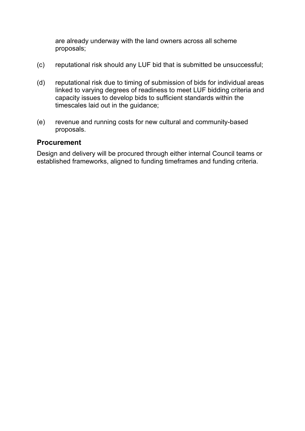are already underway with the land owners across all scheme proposals;

- (c) reputational risk should any LUF bid that is submitted be unsuccessful;
- (d) reputational risk due to timing of submission of bids for individual areas linked to varying degrees of readiness to meet LUF bidding criteria and capacity issues to develop bids to sufficient standards within the timescales laid out in the guidance;
- (e) revenue and running costs for new cultural and community-based proposals.

#### **Procurement**

Design and delivery will be procured through either internal Council teams or established frameworks, aligned to funding timeframes and funding criteria.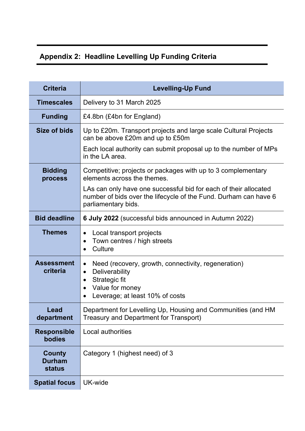# **Appendix 2: Headline Levelling Up Funding Criteria**

| <b>Criteria</b>                                 | <b>Levelling-Up Fund</b>                                                                                                                                                                                                                                   |
|-------------------------------------------------|------------------------------------------------------------------------------------------------------------------------------------------------------------------------------------------------------------------------------------------------------------|
| <b>Timescales</b>                               | Delivery to 31 March 2025                                                                                                                                                                                                                                  |
| <b>Funding</b>                                  | £4.8bn (£4bn for England)                                                                                                                                                                                                                                  |
| Size of bids                                    | Up to £20m. Transport projects and large scale Cultural Projects<br>can be above £20m and up to £50m<br>Each local authority can submit proposal up to the number of MPs<br>in the LA area.                                                                |
| <b>Bidding</b><br>process                       | Competitive; projects or packages with up to 3 complementary<br>elements across the themes.<br>LAs can only have one successful bid for each of their allocated<br>number of bids over the lifecycle of the Fund. Durham can have 6<br>parliamentary bids. |
| <b>Bid deadline</b>                             | 6 July 2022 (successful bids announced in Autumn 2022)                                                                                                                                                                                                     |
| <b>Themes</b>                                   | Local transport projects<br>$\bullet$<br>Town centres / high streets<br>$\bullet$<br>Culture<br>$\bullet$                                                                                                                                                  |
| <b>Assessment</b><br>criteria                   | Need (recovery, growth, connectivity, regeneration)<br>$\bullet$<br>Deliverability<br>$\bullet$<br>Strategic fit<br>$\bullet$<br>Value for money<br>$\bullet$<br>Leverage; at least 10% of costs                                                           |
| Lead<br>department                              | Department for Levelling Up, Housing and Communities (and HM<br>Treasury and Department for Transport)                                                                                                                                                     |
| <b>Responsible</b><br>bodies                    | Local authorities                                                                                                                                                                                                                                          |
| <b>County</b><br><b>Durham</b><br><b>status</b> | Category 1 (highest need) of 3                                                                                                                                                                                                                             |
| <b>Spatial focus</b>                            | UK-wide                                                                                                                                                                                                                                                    |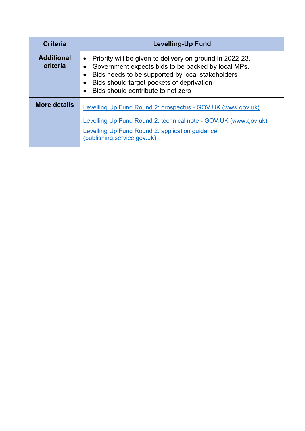| <b>Criteria</b>               | <b>Levelling-Up Fund</b>                                                                                                                                                                                                                                                                     |
|-------------------------------|----------------------------------------------------------------------------------------------------------------------------------------------------------------------------------------------------------------------------------------------------------------------------------------------|
| <b>Additional</b><br>criteria | Priority will be given to delivery on ground in 2022-23.<br>$\bullet$<br>Government expects bids to be backed by local MPs.<br>$\bullet$<br>Bids needs to be supported by local stakeholders<br>$\bullet$<br>Bids should target pockets of deprivation<br>Bids should contribute to net zero |
| <b>More details</b>           | Levelling Up Fund Round 2: prospectus - GOV.UK (www.gov.uk)<br>Levelling Up Fund Round 2: technical note - GOV.UK (www.gov.uk)<br>Levelling Up Fund Round 2: application guidance<br>(publishing.service.gov.uk)                                                                             |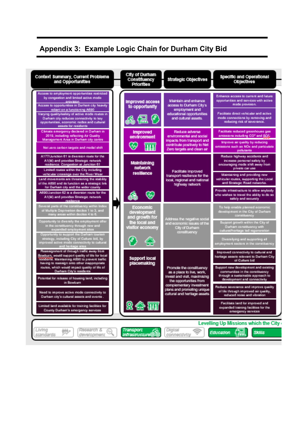# **Appendix 3: Example Logic Chain for Durham City Bid**